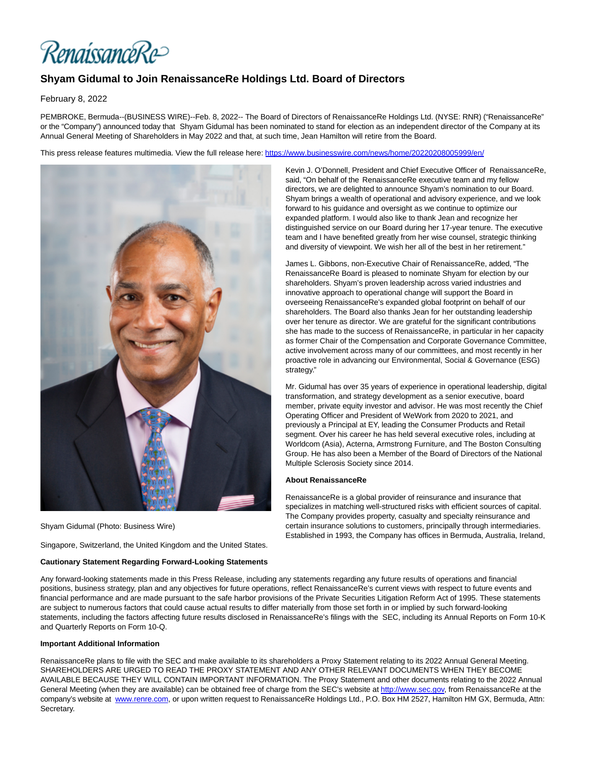RenaissanceRe>

## **Shyam Gidumal to Join RenaissanceRe Holdings Ltd. Board of Directors**

February 8, 2022

PEMBROKE, Bermuda--(BUSINESS WIRE)--Feb. 8, 2022-- The Board of Directors of RenaissanceRe Holdings Ltd. (NYSE: RNR) ("RenaissanceRe" or the "Company") announced today that Shyam Gidumal has been nominated to stand for election as an independent director of the Company at its Annual General Meeting of Shareholders in May 2022 and that, at such time, Jean Hamilton will retire from the Board.

This press release features multimedia. View the full release here:<https://www.businesswire.com/news/home/20220208005999/en/>



Shyam Gidumal (Photo: Business Wire)

Singapore, Switzerland, the United Kingdom and the United States.

## **Cautionary Statement Regarding Forward-Looking Statements**

Kevin J. O'Donnell, President and Chief Executive Officer of RenaissanceRe, said, "On behalf of the RenaissanceRe executive team and my fellow directors, we are delighted to announce Shyam's nomination to our Board. Shyam brings a wealth of operational and advisory experience, and we look forward to his guidance and oversight as we continue to optimize our expanded platform. I would also like to thank Jean and recognize her distinguished service on our Board during her 17-year tenure. The executive team and I have benefited greatly from her wise counsel, strategic thinking and diversity of viewpoint. We wish her all of the best in her retirement."

James L. Gibbons, non-Executive Chair of RenaissanceRe, added, "The RenaissanceRe Board is pleased to nominate Shyam for election by our shareholders. Shyam's proven leadership across varied industries and innovative approach to operational change will support the Board in overseeing RenaissanceRe's expanded global footprint on behalf of our shareholders. The Board also thanks Jean for her outstanding leadership over her tenure as director. We are grateful for the significant contributions she has made to the success of RenaissanceRe, in particular in her capacity as former Chair of the Compensation and Corporate Governance Committee, active involvement across many of our committees, and most recently in her proactive role in advancing our Environmental, Social & Governance (ESG) strategy."

Mr. Gidumal has over 35 years of experience in operational leadership, digital transformation, and strategy development as a senior executive, board member, private equity investor and advisor. He was most recently the Chief Operating Officer and President of WeWork from 2020 to 2021, and previously a Principal at EY, leading the Consumer Products and Retail segment. Over his career he has held several executive roles, including at Worldcom (Asia), Acterna, Armstrong Furniture, and The Boston Consulting Group. He has also been a Member of the Board of Directors of the National Multiple Sclerosis Society since 2014.

## **About RenaissanceRe**

RenaissanceRe is a global provider of reinsurance and insurance that specializes in matching well-structured risks with efficient sources of capital. The Company provides property, casualty and specialty reinsurance and certain insurance solutions to customers, principally through intermediaries. Established in 1993, the Company has offices in Bermuda, Australia, Ireland,

Any forward-looking statements made in this Press Release, including any statements regarding any future results of operations and financial positions, business strategy, plan and any objectives for future operations, reflect RenaissanceRe's current views with respect to future events and financial performance and are made pursuant to the safe harbor provisions of the Private Securities Litigation Reform Act of 1995. These statements are subject to numerous factors that could cause actual results to differ materially from those set forth in or implied by such forward-looking statements, including the factors affecting future results disclosed in RenaissanceRe's filings with the SEC, including its Annual Reports on Form 10-K and Quarterly Reports on Form 10-Q.

## **Important Additional Information**

RenaissanceRe plans to file with the SEC and make available to its shareholders a Proxy Statement relating to its 2022 Annual General Meeting. SHAREHOLDERS ARE URGED TO READ THE PROXY STATEMENT AND ANY OTHER RELEVANT DOCUMENTS WHEN THEY BECOME AVAILABLE BECAUSE THEY WILL CONTAIN IMPORTANT INFORMATION. The Proxy Statement and other documents relating to the 2022 Annual General Meeting (when they are available) can be obtained free of charge from the SEC's website a[t http://www.sec.gov,](https://cts.businesswire.com/ct/CT?id=smartlink&url=http%3A%2F%2Fwww.sec.gov&esheet=52575970&newsitemid=20220208005999&lan=en-US&anchor=http%3A%2F%2Fwww.sec.gov&index=1&md5=e426ad88293150b20e402e4a3fd916f0) from RenaissanceRe at the company's website at [www.renre.com,](https://cts.businesswire.com/ct/CT?id=smartlink&url=http%3A%2F%2Fwww.renre.com&esheet=52575970&newsitemid=20220208005999&lan=en-US&anchor=www.renre.com&index=2&md5=ec231ff08e636d9a48756a15a27a6096) or upon written request to RenaissanceRe Holdings Ltd., P.O. Box HM 2527, Hamilton HM GX, Bermuda, Attn: Secretary.